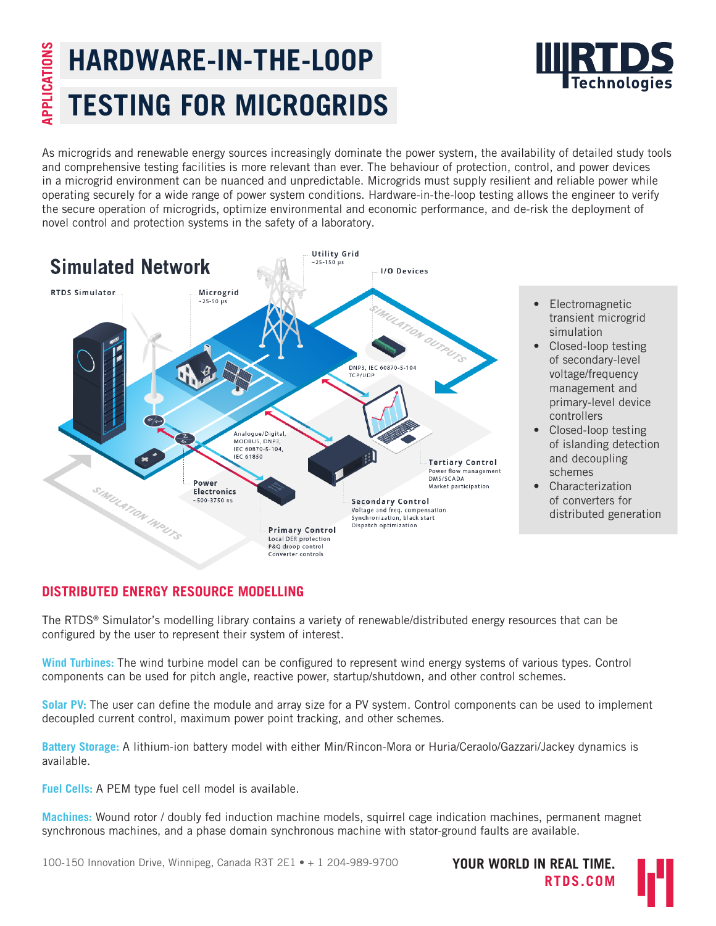# **APPLICATIONS** APPLICATIONS **HARDWARE-IN-THE-LOOP TESTING FOR MICROGRIDS**



As microgrids and renewable energy sources increasingly dominate the power system, the availability of detailed study tools and comprehensive testing facilities is more relevant than ever. The behaviour of protection, control, and power devices in a microgrid environment can be nuanced and unpredictable. Microgrids must supply resilient and reliable power while operating securely for a wide range of power system conditions. Hardware-in-the-loop testing allows the engineer to verify the secure operation of microgrids, optimize environmental and economic performance, and de-risk the deployment of novel control and protection systems in the safety of a laboratory.



- Electromagnetic transient microgrid simulation
- Closed-loop testing of secondary-level voltage/frequency management and primary-level device controllers
- Closed-loop testing of islanding detection and decoupling schemes
- Characterization of converters for distributed generation

# **DISTRIBUTED ENERGY RESOURCE MODELLING**

The RTDS® Simulator's modelling library contains a variety of renewable/distributed energy resources that can be configured by the user to represent their system of interest.

**Wind Turbines:** The wind turbine model can be configured to represent wind energy systems of various types. Control components can be used for pitch angle, reactive power, startup/shutdown, and other control schemes.

**Solar PV:** The user can define the module and array size for a PV system. Control components can be used to implement decoupled current control, maximum power point tracking, and other schemes.

**Battery Storage:** A lithium-ion battery model with either Min/Rincon-Mora or Huria/Ceraolo/Gazzari/Jackey dynamics is available.

**Fuel Cells:** A PEM type fuel cell model is available.

**Machines:** Wound rotor / doubly fed induction machine models, squirrel cage indication machines, permanent magnet synchronous machines, and a phase domain synchronous machine with stator-ground faults are available.

100-150 Innovation Drive, Winnipeg, Canada R3T 2E1 • + 1 204-989-9700 **YOUR WORLD IN REAL TIME.**